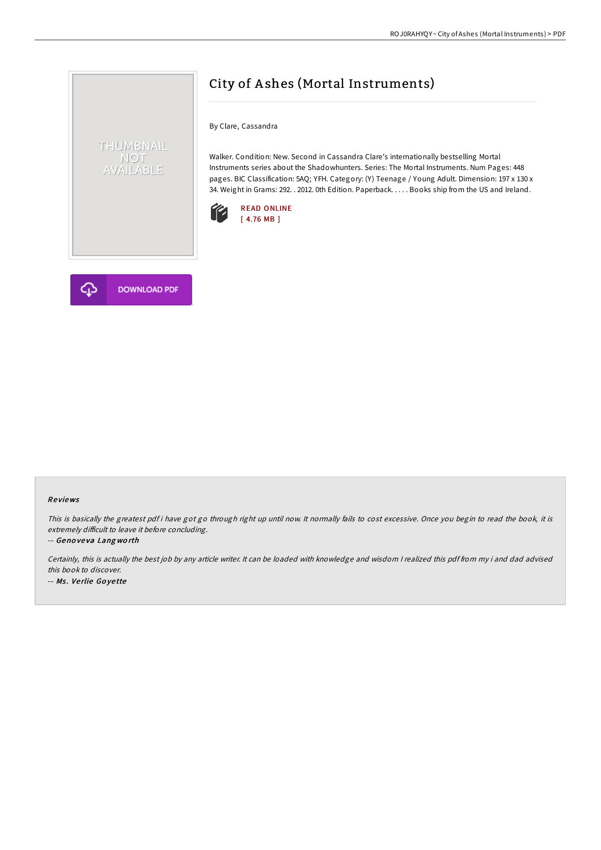

By Clare, Cassandra

Walker. Condition: New. Second in Cassandra Clare's internationally bestselling Mortal Instruments series about the Shadowhunters. Series: The Mortal Instruments. Num Pages: 448 pages. BIC Classification: 5AQ; YFH. Category: (Y) Teenage / Young Adult. Dimension: 197 x 130 x 34. Weight in Grams: 292. . 2012. 0th Edition. Paperback. . . . . Books ship from the US and Ireland.





THUMBNAIL NOT<br>AVAILABLE

### Re views

This is basically the greatest pdf i have got go through right up until now. It normally fails to cost excessive. Once you begin to read the book, it is extremely difficult to leave it before concluding.

-- Geno ve va Lang wo rth

Certainly, this is actually the best job by any article writer. It can be loaded with knowledge and wisdom <sup>I</sup> realized this pdf from my i and dad advised this book to discover. -- Ms. Verlie Goyette